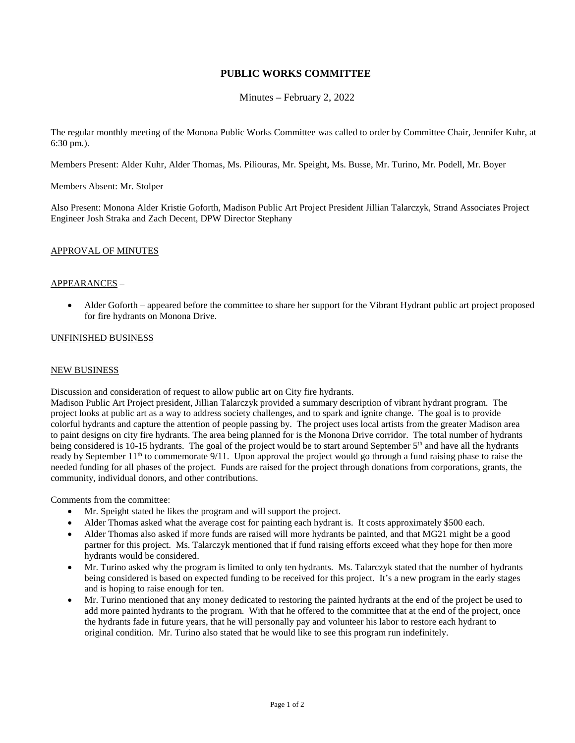# **PUBLIC WORKS COMMITTEE**

Minutes – February 2, 2022

The regular monthly meeting of the Monona Public Works Committee was called to order by Committee Chair, Jennifer Kuhr, at 6:30 pm.).

Members Present: Alder Kuhr, Alder Thomas, Ms. Piliouras, Mr. Speight, Ms. Busse, Mr. Turino, Mr. Podell, Mr. Boyer

Members Absent: Mr. Stolper

Also Present: Monona Alder Kristie Goforth, Madison Public Art Project President Jillian Talarczyk, Strand Associates Project Engineer Josh Straka and Zach Decent, DPW Director Stephany

## APPROVAL OF MINUTES

### APPEARANCES –

• Alder Goforth – appeared before the committee to share her support for the Vibrant Hydrant public art project proposed for fire hydrants on Monona Drive.

### UNFINISHED BUSINESS

#### NEW BUSINESS

#### Discussion and consideration of request to allow public art on City fire hydrants.

Madison Public Art Project president, Jillian Talarczyk provided a summary description of vibrant hydrant program. The project looks at public art as a way to address society challenges, and to spark and ignite change. The goal is to provide colorful hydrants and capture the attention of people passing by. The project uses local artists from the greater Madison area to paint designs on city fire hydrants. The area being planned for is the Monona Drive corridor. The total number of hydrants being considered is 10-15 hydrants. The goal of the project would be to start around September  $5<sup>th</sup>$  and have all the hydrants ready by September  $11<sup>th</sup>$  to commemorate 9/11. Upon approval the project would go through a fund raising phase to raise the needed funding for all phases of the project. Funds are raised for the project through donations from corporations, grants, the community, individual donors, and other contributions.

Comments from the committee:

- Mr. Speight stated he likes the program and will support the project.
- Alder Thomas asked what the average cost for painting each hydrant is. It costs approximately \$500 each.
- Alder Thomas also asked if more funds are raised will more hydrants be painted, and that MG21 might be a good partner for this project. Ms. Talarczyk mentioned that if fund raising efforts exceed what they hope for then more hydrants would be considered.
- Mr. Turino asked why the program is limited to only ten hydrants. Ms. Talarczyk stated that the number of hydrants being considered is based on expected funding to be received for this project. It's a new program in the early stages and is hoping to raise enough for ten.
- Mr. Turino mentioned that any money dedicated to restoring the painted hydrants at the end of the project be used to add more painted hydrants to the program. With that he offered to the committee that at the end of the project, once the hydrants fade in future years, that he will personally pay and volunteer his labor to restore each hydrant to original condition. Mr. Turino also stated that he would like to see this program run indefinitely.